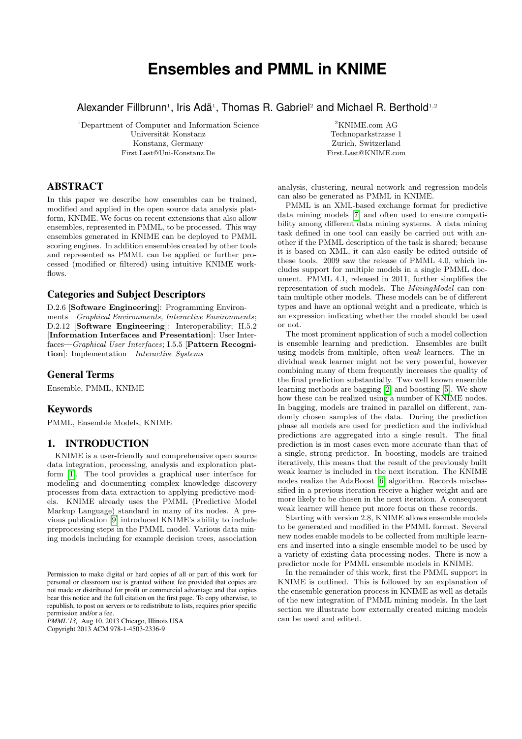# **Ensembles and PMML in KNIME**

Alexander Fillbrunn<sup>1</sup>, Iris Adä<sup>1</sup>, Thomas R. Gabriel<sup>2</sup> and Michael R. Berthold<sup>1,2</sup>

<sup>1</sup>Department of Computer and Information Science Universität Konstanz Konstanz, Germany First.Last@Uni-Konstanz.De

 $^2\rm KNIME.com$  AG Technoparkstrasse 1 Zurich, Switzerland First.Last@KNIME.com

## ABSTRACT

In this paper we describe how ensembles can be trained, modified and applied in the open source data analysis platform, KNIME. We focus on recent extensions that also allow ensembles, represented in PMML, to be processed. This way ensembles generated in KNIME can be deployed to PMML scoring engines. In addition ensembles created by other tools and represented as PMML can be applied or further processed (modified or filtered) using intuitive KNIME workflows.

## Categories and Subject Descriptors

D.2.6 [Software Engineering]: Programming Environments—Graphical Environments, Interactive Environments; D.2.12 [Software Engineering]: Interoperability; H.5.2 [Information Interfaces and Presentation]: User Interfaces—Graphical User Interfaces; I.5.5 [Pattern Recognition]: Implementation—Interactive Systems

## General Terms

Ensemble, PMML, KNIME

## Keywords

PMML, Ensemble Models, KNIME

## 1. INTRODUCTION

KNIME is a user-friendly and comprehensive open source data integration, processing, analysis and exploration platform [\[1\]](#page-4-0). The tool provides a graphical user interface for modeling and documenting complex knowledge discovery processes from data extraction to applying predictive models. KNIME already uses the PMML (Predictive Model Markup Language) standard in many of its nodes. A previous publication [\[9\]](#page-4-1) introduced KNIME's ability to include preprocessing steps in the PMML model. Various data mining models including for example decision trees, association

*PMML'13,* Aug 10, 2013 Chicago, Illinois USA Copyright 2013 ACM 978-1-4503-2336-9

analysis, clustering, neural network and regression models can also be generated as PMML in KNIME.

PMML is an XML-based exchange format for predictive data mining models [\[7\]](#page-4-2) and often used to ensure compatibility among different data mining systems. A data mining task defined in one tool can easily be carried out with another if the PMML description of the task is shared; because it is based on XML, it can also easily be edited outside of these tools. 2009 saw the release of PMML 4.0, which includes support for multiple models in a single PMML document. PMML 4.1, released in 2011, further simplifies the representation of such models. The MiningModel can contain multiple other models. These models can be of different types and have an optional weight and a predicate, which is an expression indicating whether the model should be used or not.

The most prominent application of such a model collection is ensemble learning and prediction. Ensembles are built using models from multiple, often weak learners. The individual weak learner might not be very powerful, however combining many of them frequently increases the quality of the final prediction substantially. Two well known ensemble learning methods are bagging [\[2\]](#page-4-3) and boosting [\[5\]](#page-4-4). We show how these can be realized using a number of KNIME nodes. In bagging, models are trained in parallel on different, randomly chosen samples of the data. During the prediction phase all models are used for prediction and the individual predictions are aggregated into a single result. The final prediction is in most cases even more accurate than that of a single, strong predictor. In boosting, models are trained iteratively, this means that the result of the previously built weak learner is included in the next iteration. The KNIME nodes realize the AdaBoost [\[6\]](#page-4-5) algorithm. Records misclassified in a previous iteration receive a higher weight and are more likely to be chosen in the next iteration. A consequent weak learner will hence put more focus on these records.

Starting with version 2.8, KNIME allows ensemble models to be generated and modified in the PMML format. Several new nodes enable models to be collected from multiple learners and inserted into a single ensemble model to be used by a variety of existing data processing nodes. There is now a predictor node for PMML ensemble models in KNIME.

In the remainder of this work, first the PMML support in KNIME is outlined. This is followed by an explanation of the ensemble generation process in KNIME as well as details of the new integration of PMML mining models. In the last section we illustrate how externally created mining models can be used and edited.

Permission to make digital or hard copies of all or part of this work for personal or classroom use is granted without fee provided that copies are not made or distributed for profit or commercial advantage and that copies bear this notice and the full citation on the first page. To copy otherwise, to republish, to post on servers or to redistribute to lists, requires prior specific permission and/or a fee.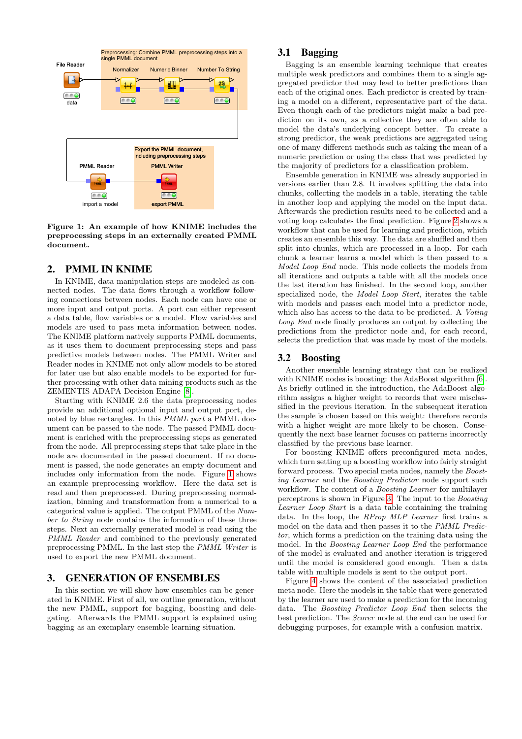

<span id="page-1-0"></span>Figure 1: An example of how KNIME includes the preprocessing steps in an externally created PMML document.

#### 2. PMML IN KNIME

In KNIME, data manipulation steps are modeled as connected nodes. The data flows through a workflow following connections between nodes. Each node can have one or more input and output ports. A port can either represent a data table, flow variables or a model. Flow variables and models are used to pass meta information between nodes. The KNIME platform natively supports PMML documents, as it uses them to document preprocessing steps and pass predictive models between nodes. The PMML Writer and Reader nodes in KNIME not only allow models to be stored for later use but also enable models to be exported for further processing with other data mining products such as the ZEMENTIS ADAPA Decision Engine [\[8\]](#page-4-6).

Starting with KNIME 2.6 the data preprocessing nodes provide an additional optional input and output port, denoted by blue rectangles. In this PMML port a PMML document can be passed to the node. The passed PMML document is enriched with the preproccessing steps as generated from the node. All preprocessing steps that take place in the node are documented in the passed document. If no document is passed, the node generates an empty document and includes only information from the node. Figure [1](#page-1-0) shows an example preprocessing workflow. Here the data set is read and then preprocessed. During preprocessing normalization, binning and transformation from a numerical to a categorical value is applied. The output PMML of the Number to String node contains the information of these three steps. Next an externally generated model is read using the PMML Reader and combined to the previously generated preprocessing PMML. In the last step the PMML Writer is used to export the new PMML document.

## 3. GENERATION OF ENSEMBLES

In this section we will show how ensembles can be generated in KNIME. First of all, we outline generation, without the new PMML, support for bagging, boosting and delegating. Afterwards the PMML support is explained using bagging as an exemplary ensemble learning situation.

## <span id="page-1-1"></span>3.1 Bagging

Bagging is an ensemble learning technique that creates multiple weak predictors and combines them to a single aggregated predictor that may lead to better predictions than each of the original ones. Each predictor is created by training a model on a different, representative part of the data. Even though each of the predictors might make a bad prediction on its own, as a collective they are often able to model the data's underlying concept better. To create a strong predictor, the weak predictions are aggregated using one of many different methods such as taking the mean of a numeric prediction or using the class that was predicted by the majority of predictors for a classification problem.

Ensemble generation in KNIME was already supported in versions earlier than 2.8. It involves splitting the data into chunks, collecting the models in a table, iterating the table in another loop and applying the model on the input data. Afterwards the prediction results need to be collected and a voting loop calculates the final prediction. Figure [2](#page-2-0) shows a workflow that can be used for learning and prediction, which creates an ensemble this way. The data are shuffled and then split into chunks, which are processed in a loop. For each chunk a learner learns a model which is then passed to a Model Loop End node. This node collects the models from all iterations and outputs a table with all the models once the last iteration has finished. In the second loop, another specialized node, the Model Loop Start, iterates the table with models and passes each model into a predictor node, which also has access to the data to be predicted. A Voting Loop End node finally produces an output by collecting the predictions from the predictor node and, for each record, selects the prediction that was made by most of the models.

#### 3.2 Boosting

Another ensemble learning strategy that can be realized with KNIME nodes is boosting: the AdaBoost algorithm [\[6\]](#page-4-5). As briefly outlined in the introduction, the AdaBoost algorithm assigns a higher weight to records that were misclassified in the previous iteration. In the subsequent iteration the sample is chosen based on this weight: therefore records with a higher weight are more likely to be chosen. Consequently the next base learner focuses on patterns incorrectly classified by the previous base learner.

For boosting KNIME offers preconfigured meta nodes, which turn setting up a boosting workflow into fairly straight forward process. Two special meta nodes, namely the Boosting Learner and the Boosting Predictor node support such workflow. The content of a *Boosting Learner* for multilayer perceptrons is shown in Figure [3.](#page-2-1) The input to the Boosting Learner Loop Start is a data table containing the training data. In the loop, the RProp MLP Learner first trains a model on the data and then passes it to the PMML Predictor, which forms a prediction on the training data using the model. In the Boosting Learner Loop End the performance of the model is evaluated and another iteration is triggered until the model is considered good enough. Then a data table with multiple models is sent to the output port.

Figure [4](#page-2-2) shows the content of the associated prediction meta node. Here the models in the table that were generated by the learner are used to make a prediction for the incoming data. The Boosting Predictor Loop End then selects the best prediction. The Scorer node at the end can be used for debugging purposes, for example with a confusion matrix.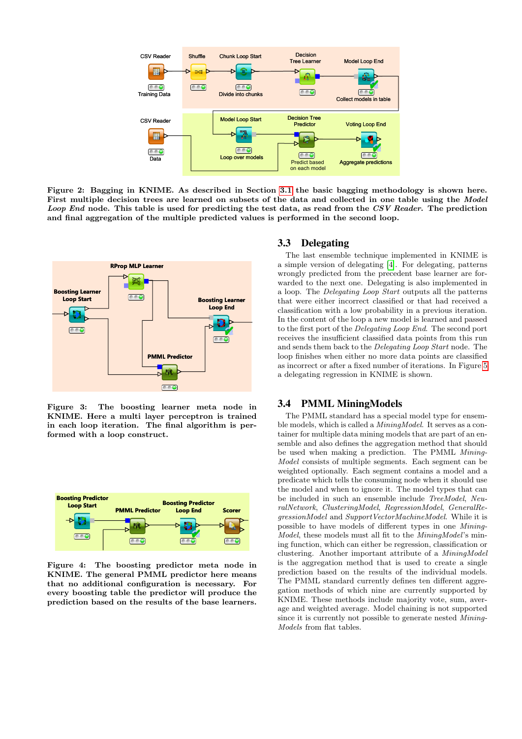

<span id="page-2-0"></span>Figure 2: Bagging in KNIME. As described in Section [3.1](#page-1-1) the basic bagging methodology is shown here. First multiple decision trees are learned on subsets of the data and collected in one table using the Model Loop End node. This table is used for predicting the test data, as read from the CSV Reader. The prediction and final aggregation of the multiple predicted values is performed in the second loop.



<span id="page-2-1"></span>Figure 3: The boosting learner meta node in KNIME. Here a multi layer perceptron is trained in each loop iteration. The final algorithm is performed with a loop construct.



<span id="page-2-2"></span>Figure 4: The boosting predictor meta node in KNIME. The general PMML predictor here means that no additional configuration is necessary. For every boosting table the predictor will produce the prediction based on the results of the base learners.

#### 3.3 Delegating

The last ensemble technique implemented in KNIME is a simple version of delegating [\[4\]](#page-4-7). For delegating, patterns wrongly predicted from the precedent base learner are forwarded to the next one. Delegating is also implemented in a loop. The Delegating Loop Start outputs all the patterns that were either incorrect classified or that had received a classification with a low probability in a previous iteration. In the content of the loop a new model is learned and passed to the first port of the Delegating Loop End. The second port receives the insufficient classified data points from this run and sends them back to the Delegating Loop Start node. The loop finishes when either no more data points are classified as incorrect or after a fixed number of iterations. In Figure [5](#page-3-0) a delegating regression in KNIME is shown.

#### 3.4 PMML MiningModels

The PMML standard has a special model type for ensemble models, which is called a *MiningModel*. It serves as a container for multiple data mining models that are part of an ensemble and also defines the aggregation method that should be used when making a prediction. The PMML Mining-Model consists of multiple segments. Each segment can be weighted optionally. Each segment contains a model and a predicate which tells the consuming node when it should use the model and when to ignore it. The model types that can be included in such an ensemble include TreeModel, NeuralNetwork, ClusteringModel, RegressionModel, GeneralRegressionModel and SupportVectorMachineModel. While it is possible to have models of different types in one Mining-Model, these models must all fit to the MiningModel's mining function, which can either be regression, classification or clustering. Another important attribute of a MiningModel is the aggregation method that is used to create a single prediction based on the results of the individual models. The PMML standard currently defines ten different aggregation methods of which nine are currently supported by KNIME. These methods include majority vote, sum, average and weighted average. Model chaining is not supported since it is currently not possible to generate nested Mining-Models from flat tables.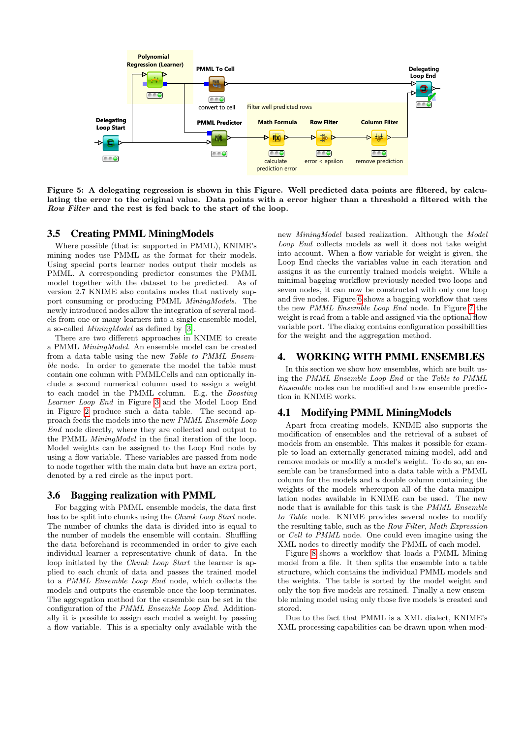

<span id="page-3-0"></span>Figure 5: A delegating regression is shown in this Figure. Well predicted data points are filtered, by calculating the error to the original value. Data points with a error higher than a threshold a filtered with the Row Filter and the rest is fed back to the start of the loop.

## 3.5 Creating PMML MiningModels

Where possible (that is: supported in PMML), KNIME's mining nodes use PMML as the format for their models. Using special ports learner nodes output their models as PMML. A corresponding predictor consumes the PMML model together with the dataset to be predicted. As of version 2.7 KNIME also contains nodes that natively support consuming or producing PMML MiningModels. The newly introduced nodes allow the integration of several models from one or many learners into a single ensemble model, a so-called MiningModel as defined by [\[3\]](#page-4-8).

There are two different approaches in KNIME to create a PMML MiningModel. An ensemble model can be created from a data table using the new Table to PMML Ensemble node. In order to generate the model the table must contain one column with PMMLCells and can optionally include a second numerical column used to assign a weight to each model in the PMML column. E.g. the Boosting Learner Loop End in Figure [3](#page-2-1) and the Model Loop End in Figure [2](#page-2-0) produce such a data table. The second approach feeds the models into the new PMML Ensemble Loop End node directly, where they are collected and output to the PMML MiningModel in the final iteration of the loop. Model weights can be assigned to the Loop End node by using a flow variable. These variables are passed from node to node together with the main data but have an extra port, denoted by a red circle as the input port.

#### 3.6 Bagging realization with PMML

For bagging with PMML ensemble models, the data first has to be split into chunks using the *Chunk Loop Start* node. The number of chunks the data is divided into is equal to the number of models the ensemble will contain. Shuffling the data beforehand is recommended in order to give each individual learner a representative chunk of data. In the loop initiated by the Chunk Loop Start the learner is applied to each chunk of data and passes the trained model to a PMML Ensemble Loop End node, which collects the models and outputs the ensemble once the loop terminates. The aggregation method for the ensemble can be set in the configuration of the PMML Ensemble Loop End. Additionally it is possible to assign each model a weight by passing a flow variable. This is a specialty only available with the

new MiningModel based realization. Although the Model Loop End collects models as well it does not take weight into account. When a flow variable for weight is given, the Loop End checks the variables value in each iteration and assigns it as the currently trained models weight. While a minimal bagging workflow previously needed two loops and seven nodes, it can now be constructed with only one loop and five nodes. Figure [6](#page-4-9) shows a bagging workflow that uses the new PMML Ensemble Loop End node. In Figure [7](#page-5-0) the weight is read from a table and assigned via the optional flow variable port. The dialog contains configuration possibilities for the weight and the aggregation method.

#### 4. WORKING WITH PMML ENSEMBLES

In this section we show how ensembles, which are built using the PMML Ensemble Loop End or the Table to PMML Ensemble nodes can be modified and how ensemble prediction in KNIME works.

## 4.1 Modifying PMML MiningModels

Apart from creating models, KNIME also supports the modification of ensembles and the retrieval of a subset of models from an ensemble. This makes it possible for example to load an externally generated mining model, add and remove models or modify a model's weight. To do so, an ensemble can be transformed into a data table with a PMML column for the models and a double column containing the weights of the models whereupon all of the data manipulation nodes available in KNIME can be used. The new node that is available for this task is the PMML Ensemble to Table node. KNIME provides several nodes to modify the resulting table, such as the Row Filter, Math Expression or Cell to PMML node. One could even imagine using the XML nodes to directly modify the PMML of each model.

Figure [8](#page-5-1) shows a workflow that loads a PMML Mining model from a file. It then splits the ensemble into a table structure, which contains the individual PMML models and the weights. The table is sorted by the model weight and only the top five models are retained. Finally a new ensemble mining model using only those five models is created and stored.

Due to the fact that PMML is a XML dialect, KNIME's XML processing capabilities can be drawn upon when mod-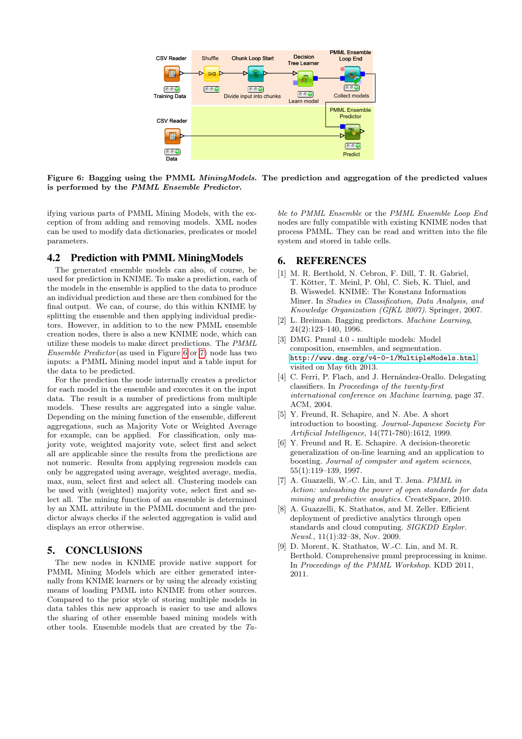

<span id="page-4-9"></span>Figure 6: Bagging using the PMML MiningModels. The prediction and aggregation of the predicted values is performed by the PMML Ensemble Predictor.

ifying various parts of PMML Mining Models, with the exception of from adding and removing models. XML nodes can be used to modify data dictionaries, predicates or model parameters.

#### 4.2 Prediction with PMML MiningModels

The generated ensemble models can also, of course, be used for prediction in KNIME. To make a prediction, each of the models in the ensemble is applied to the data to produce an individual prediction and these are then combined for the final output. We can, of course, do this within KNIME by splitting the ensemble and then applying individual predictors. However, in addition to to the new PMML ensemble creation nodes, there is also a new KNIME node, which can utilize these models to make direct predictions. The PMML Ensemble Predictor (as used in Figure [6](#page-4-9) or [7\)](#page-5-0) node has two inputs: a PMML Mining model input and a table input for the data to be predicted.

For the prediction the node internally creates a predictor for each model in the ensemble and executes it on the input data. The result is a number of predictions from multiple models. These results are aggregated into a single value. Depending on the mining function of the ensemble, different aggregations, such as Majority Vote or Weighted Average for example, can be applied. For classification, only majority vote, weighted majority vote, select first and select all are applicable since the results from the predictions are not numeric. Results from applying regression models can only be aggregated using average, weighted average, media, max, sum, select first and select all. Clustering models can be used with (weighted) majority vote, select first and select all. The mining function of an ensemble is determined by an XML attribute in the PMML document and the predictor always checks if the selected aggregation is valid and displays an error otherwise.

## 5. CONCLUSIONS

The new nodes in KNIME provide native support for PMML Mining Models which are either generated internally from KNIME learners or by using the already existing means of loading PMML into KNIME from other sources. Compared to the prior style of storing multiple models in data tables this new approach is easier to use and allows the sharing of other ensemble based mining models with other tools. Ensemble models that are created by the Table to PMML Ensemble or the PMML Ensemble Loop End nodes are fully compatible with existing KNIME nodes that process PMML. They can be read and written into the file system and stored in table cells.

## 6. REFERENCES

- <span id="page-4-0"></span>[1] M. R. Berthold, N. Cebron, F. Dill, T. R. Gabriel, T. Kötter, T. Meinl, P. Ohl, C. Sieb, K. Thiel, and B. Wiswedel. KNIME: The Konstanz Information Miner. In Studies in Classification, Data Analysis, and Knowledge Organization (GfKL 2007). Springer, 2007.
- <span id="page-4-3"></span>[2] L. Breiman. Bagging predictors. Machine Learning, 24(2):123–140, 1996.
- <span id="page-4-8"></span>[3] DMG. Pmml 4.0 - multiple models: Model composition, ensembles, and segmentation. <http://www.dmg.org/v4-0-1/MultipleModels.html>. visited on May 6th 2013.
- <span id="page-4-7"></span>[4] C. Ferri, P. Flach, and J. Hernández-Orallo. Delegating classifiers. In Proceedings of the twenty-first international conference on Machine learning, page 37. ACM, 2004.
- <span id="page-4-4"></span>[5] Y. Freund, R. Schapire, and N. Abe. A short introduction to boosting. Journal-Japanese Society For Artificial Intelligence, 14(771-780):1612, 1999.
- <span id="page-4-5"></span>[6] Y. Freund and R. E. Schapire. A decision-theoretic generalization of on-line learning and an application to boosting. Journal of computer and system sciences, 55(1):119–139, 1997.
- <span id="page-4-2"></span>[7] A. Guazzelli, W.-C. Lin, and T. Jena. *PMML in* Action: unleashing the power of open standards for data mining and predictive analytics. CreateSpace, 2010.
- <span id="page-4-6"></span>[8] A. Guazzelli, K. Stathatos, and M. Zeller. Efficient deployment of predictive analytics through open standards and cloud computing. SIGKDD Explor. Newsl., 11(1):32–38, Nov. 2009.
- <span id="page-4-1"></span>[9] D. Morent, K. Stathatos, W.-C. Lin, and M. R. Berthold. Comprehensive pmml preprocessing in knime. In Proceedings of the PMML Workshop. KDD 2011, 2011.